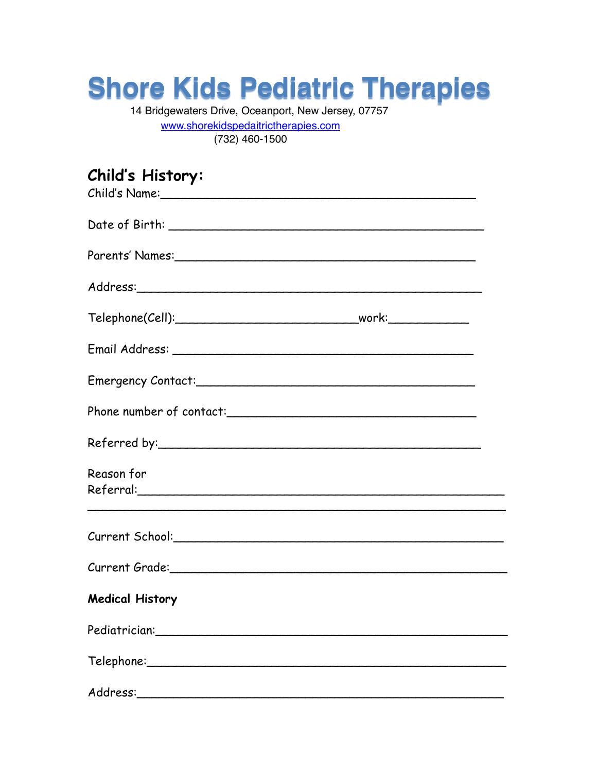## **Shore Kids Pediatric Therapies**

14 Bridgewaters Drive, Oceanport, New Jersey, 07757 [www.shorekidspedaitrictherapies.com](http://www.shorekidspedaitrictherapies.com)

(732) 460-1500

## **Child's History:**

| Reason for                      |  |
|---------------------------------|--|
| Current School: Current School: |  |
| Current Grade: Current Grade:   |  |
| <b>Medical History</b>          |  |
|                                 |  |
|                                 |  |
|                                 |  |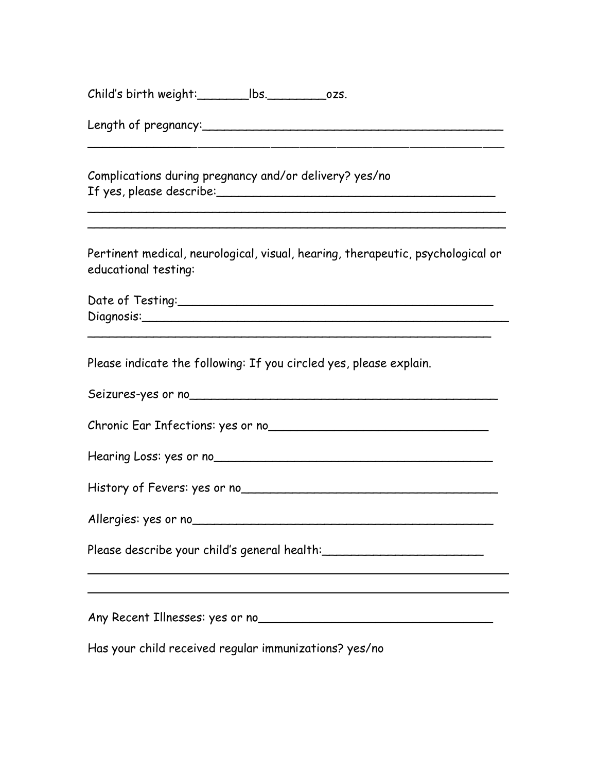Child's birth weight:\_\_\_\_\_\_\_lbs.\_\_\_\_\_\_\_\_ozs.

Length of pregnancy:\_\_\_\_\_\_\_\_\_\_\_\_\_\_\_\_\_\_\_\_\_\_\_\_\_\_\_\_\_\_\_\_\_\_\_\_\_\_\_\_\_

Complications during pregnancy and/or delivery? yes/no If yes, please describe:\_\_\_\_\_\_\_\_\_\_\_\_\_\_\_\_\_\_\_\_\_\_\_\_\_\_\_\_\_\_\_\_\_\_\_\_\_\_

Pertinent medical, neurological, visual, hearing, therapeutic, psychological or educational testing:

\_\_\_\_\_\_\_\_\_\_\_\_\_\_\_\_\_\_\_\_\_\_\_\_\_\_\_\_\_\_\_\_\_\_\_\_\_\_\_\_\_\_\_\_\_\_\_\_\_\_\_\_\_\_\_\_\_

\_\_\_\_\_\_\_\_\_\_\_\_\_\_\_\_\_\_\_\_\_\_\_\_\_\_\_\_\_\_\_\_\_\_\_\_\_\_\_\_\_\_\_\_\_\_\_\_\_\_\_\_\_\_\_\_\_

 $\mathcal{L}_\text{max}$ 

| Date of Testing: |  |
|------------------|--|
| Diagnosis:       |  |

\_\_\_\_\_\_\_\_\_\_\_\_\_\_\_\_\_\_\_\_\_\_\_\_\_\_\_\_\_\_\_\_\_\_\_\_\_\_\_\_\_\_\_\_\_\_\_\_\_\_\_\_\_\_\_

Please indicate the following: If you circled yes, please explain.

| Any Recent Illnesses: yes or no<br>any Recent Illnesses: yes or no               |
|----------------------------------------------------------------------------------|
| Please describe your child's general health: ___________________________________ |
|                                                                                  |
|                                                                                  |
| Hearing Loss: yes or no                                                          |
| Chronic Ear Infections: yes or no                                                |
| Seizures-yes or no                                                               |

Has your child received regular immunizations? yes/no